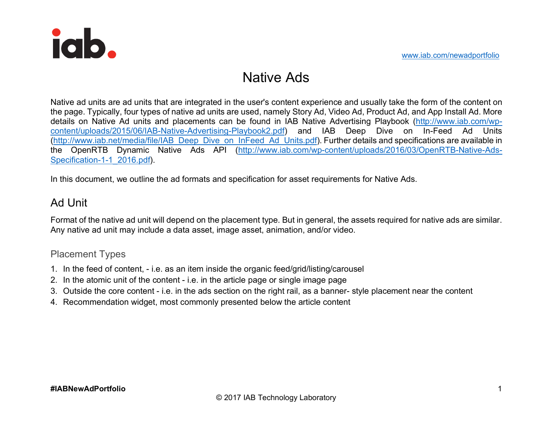

# Native Ads

Native ad units are ad units that are integrated in the user's content experience and usually take the form of the content on the page. Typically, four types of native ad units are used, namely Story Ad, Video Ad, Product Ad, and App Install Ad. More details on Native Ad units and placements can be found in IAB Native Advertising Playbook (http://www.iab.com/wpcontent/uploads/2015/06/IAB-Native-Advertising-Playbook2.pdf) and IAB Deep Dive on In-Feed Ad Units (http://www.iab.net/media/file/IAB\_Deep\_Dive\_on\_InFeed\_Ad\_Units.pdf). Further details and specifications are available in the OpenRTB Dynamic Native Ads API (http://www.iab.com/wp-content/uploads/2016/03/OpenRTB-Native-Ads-Specification-1-1\_2016.pdf).

In this document, we outline the ad formats and specification for asset requirements for Native Ads.

## Ad Unit

Format of the native ad unit will depend on the placement type. But in general, the assets required for native ads are similar. Any native ad unit may include a data asset, image asset, animation, and/or video.

#### Placement Types

- 1. In the feed of content, i.e. as an item inside the organic feed/grid/listing/carousel
- 2. In the atomic unit of the content i.e. in the article page or single image page
- 3. Outside the core content i.e. in the ads section on the right rail, as a banner- style placement near the content
- 4. Recommendation widget, most commonly presented below the article content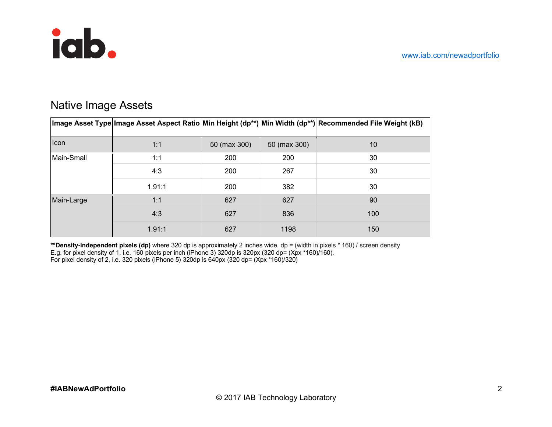

## Native Image Assets

|            |        |              |              | ∣lmage Asset Type∣lmage Asset Aspect Ratio Min Height (dp**) Min Width (dp**) Recommended File Weight (kB) |
|------------|--------|--------------|--------------|------------------------------------------------------------------------------------------------------------|
| Icon       | 1:1    | 50 (max 300) | 50 (max 300) | 10 <sup>°</sup>                                                                                            |
| Main-Small | 1:1    | 200          | 200          | 30                                                                                                         |
|            | 4:3    | 200          | 267          | 30                                                                                                         |
|            | 1.91:1 | 200          | 382          | 30                                                                                                         |
| Main-Large | 1:1    | 627          | 627          | 90                                                                                                         |
|            | 4:3    | 627          | 836          | 100                                                                                                        |
|            | 1.91:1 | 627          | 1198         | 150                                                                                                        |

**\*\*Density-independent pixels (dp)** where 320 dp is approximately 2 inches wide. dp = (width in pixels \* 160) / screen density E.g. for pixel density of 1, i.e. 160 pixels per inch (iPhone 3) 320dp is 320px (320 dp= (Xpx \*160)/160). For pixel density of 2, i.e. 320 pixels (iPhone 5) 320dp is 640px (320 dp= (Xpx \*160)/320)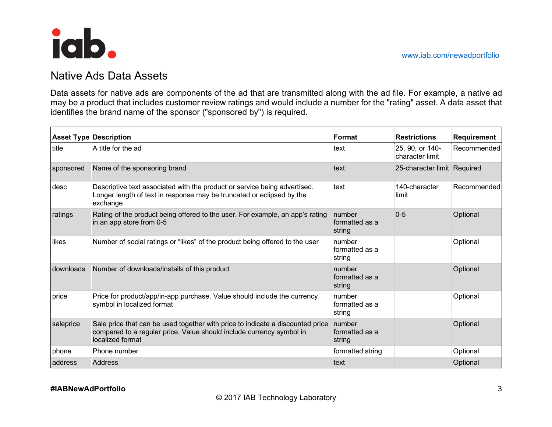

### Native Ads Data Assets

Data assets for native ads are components of the ad that are transmitted along with the ad file. For example, a native ad may be a product that includes customer review ratings and would include a number for the "rating" asset. A data asset that identifies the brand name of the sponsor ("sponsored by") is required.

|           | <b>Asset Type Description</b>                                                                                                                                              | Format                             | <b>Restrictions</b>                | Requirement |
|-----------|----------------------------------------------------------------------------------------------------------------------------------------------------------------------------|------------------------------------|------------------------------------|-------------|
| title     | A title for the ad                                                                                                                                                         | text                               | 25, 90, or 140-<br>character limit | Recommended |
| sponsored | Name of the sponsoring brand                                                                                                                                               | text                               | 25-character limit Required        |             |
| desc      | Descriptive text associated with the product or service being advertised.<br>Longer length of text in response may be truncated or eclipsed by the<br>exchange             | text                               | 140-character<br>limit             | Recommended |
| ratings   | Rating of the product being offered to the user. For example, an app's rating<br>in an app store from 0-5                                                                  | number<br>formatted as a<br>string | $0 - 5$                            | Optional    |
| likes     | Number of social ratings or "likes" of the product being offered to the user                                                                                               | number<br>formatted as a<br>string |                                    | Optional    |
| downloads | Number of downloads/installs of this product                                                                                                                               | number<br>formatted as a<br>string |                                    | Optional    |
| price     | Price for product/app/in-app purchase. Value should include the currency<br>symbol in localized format                                                                     | number<br>formatted as a<br>string |                                    | Optional    |
| saleprice | Sale price that can be used together with price to indicate a discounted price<br>compared to a regular price. Value should include currency symbol in<br>localized format | number<br>formatted as a<br>string |                                    | Optional    |
| phone     | Phone number                                                                                                                                                               | formatted string                   |                                    | Optional    |
| address   | <b>Address</b>                                                                                                                                                             | text                               |                                    | Optional    |